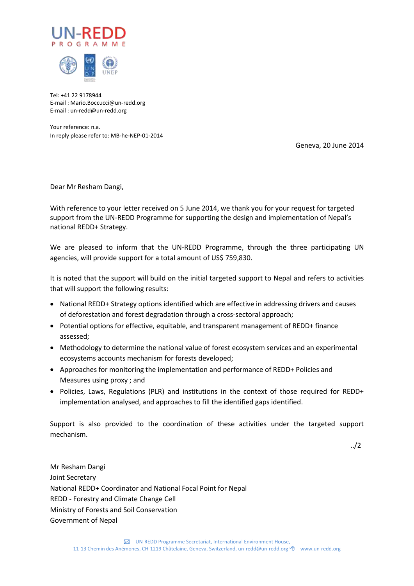



Tel: +41 22 9178944 E-mail : Mario.Boccucci@un-redd.org E-mail : un-redd@un-redd.org

Your reference: n.a. In reply please refer to: MB-he-NEP-01-2014

Geneva, 20 June 2014

Dear Mr Resham Dangi,

With reference to your letter received on 5 June 2014, we thank you for your request for targeted support from the UN-REDD Programme for supporting the design and implementation of Nepal's national REDD+ Strategy.

We are pleased to inform that the UN-REDD Programme, through the three participating UN agencies, will provide support for a total amount of US\$ 759,830.

It is noted that the support will build on the initial targeted support to Nepal and refers to activities that will support the following results:

- National REDD+ Strategy options identified which are effective in addressing drivers and causes of deforestation and forest degradation through a cross-sectoral approach;
- Potential options for effective, equitable, and transparent management of REDD+ finance assessed;
- Methodology to determine the national value of forest ecosystem services and an experimental ecosystems accounts mechanism for forests developed;
- Approaches for monitoring the implementation and performance of REDD+ Policies and Measures using proxy ; and
- Policies, Laws, Regulations (PLR) and institutions in the context of those required for REDD+ implementation analysed, and approaches to fill the identified gaps identified.

Support is also provided to the coordination of these activities under the targeted support mechanism.

 $.12$ 

Mr Resham Dangi Joint Secretary National REDD+ Coordinator and National Focal Point for Nepal REDD - Forestry and Climate Change Cell Ministry of Forests and Soil Conservation Government of Nepal